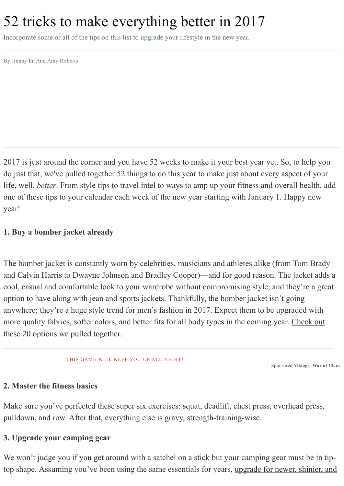# 52 tricks to make everything better in 2017

Incorporate some or all of the tips on this list to upgrade your lifestyle in the new year.

By Jimmy Im And Amy Roberts

2017 is just around the corner and you have 52 weeks to make it your best year yet. So, to help you do just that, we've pulled together 52 things to do this year to make just about every aspect of your life, well, *better*. From style tips to travel intel to ways to amp up your fitness and overall health, add one of these tips to your calendar each week of the new year starting with January 1. Happy new year!

#### 1. Buy a bomber jacket already

The bomber jacket is constantly worn by celebrities, musicians and athletes alike (from Tom Brady and Calvin Harris to Dwayne Johnson and Bradley Cooper)—and for good reason. The jacket adds a cool, casual and comfortable look to your wardrobe without compromising style, and they're a great option to have along with jean and sports jackets. Thankfully, the bomber jacket isn't going anywhere; they're a huge style trend for men's fashion in 2017. Expect them to be upgraded with more quality fabrics, softer colors, and better fits for all body types in the coming year. Check out these 20 options we pulled [together.](http://www.mensfitness.com/styleandgrooming/fashion/20-most-badass-bomber-jackets-men)

#### THIS GAME WILL KEEP YOU UP ALL NIGHT!

Sponsored Vikings: War of Clans

#### 2. Master the fitness basics

Make sure you've perfected these super six exercises: squat, deadlift, chest press, overhead press, pulldown, and row. After that, everything else is gravy, strength-training-wise.

#### 3. Upgrade your camping gear

We won't judge you if you get around with a satchel on a stick but your camping gear must be in tip-top shape. [Assuming](http://www.mensfitness.com/styleandgrooming/fashion/fall-camping-gear-guide) you've been using the same essentials for years, upgrade for newer, shinier, and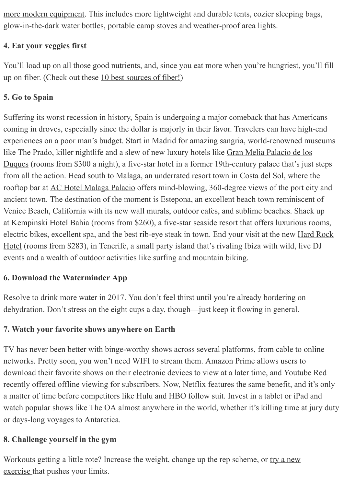more modern equipment. This includes more [lightweight](http://www.mensfitness.com/styleandgrooming/fashion/fall-camping-gear-guide) and durable tents, cozier sleeping bags, glow-in-the-dark water bottles, portable camp stoves and weather-proof area lights.

#### 4. Eat your veggies first

You'll load up on all those good nutrients, and, since you eat more when you're hungriest, you'll fill up on fiber. (Check out these 10 best [sources](http://www.mensfitness.com/nutrition/what-to-eat/10-best-sources-of-fiber) of fiber!)

## 5. Go to Spain

Suffering its worst recession in history, Spain is undergoing a major comeback that has Americans coming in droves, especially since the dollar is majorly in their favor. Travelers can have high-end experiences on a poor man's budget. Start in Madrid for amazing sangria, world-renowned museums like The Prado, killer nightlife and a slew of new luxury hotels like Gran Melia Palacio de los Duques (rooms from \$300 a night), a five-star hotel in a former 19th-century palace that's just steps from all the action. Head south to Malaga, an underrated resort town in Costa del Sol, where the rooftop bar at AC Hotel [Malaga](http://www.marriott.com/hotels/travel/agpmg-ac-hotel-malaga-palacio/) Palacio offers mind-blowing, 360-degree views of the port city and ancient town. The destination of the moment is Estepona, an excellent beach town reminiscent of Venice Beach, California with its new wall murals, outdoor cafes, and sublime beaches. Shack up at [Kempinski](https://www.kempinski.com/en/marbella/hotel-bahia/) Hotel Bahia (rooms from \$260), a five-star seaside resort that offers luxurious rooms, electric bikes, [excellent](https://www.hardrockhotels.com/tenerife/) spa, and the best rib-eye steak in town. End your visit at the new Hard Rock Hotel (rooms from \$283), in Tenerife, a small party island that's rivaling Ibiza with wild, live DJ events and a wealth of outdoor activities like surfing and mountain biking.

#### 6. Download the [Waterminder](https://itunes.apple.com/us/app/waterminder-water-hydration/id653031147?mt=8) App

Resolve to drink more water in 2017. You don't feel thirst until you're already bordering on dehydration. Don't stress on the eight cups a day, though—just keep it flowing in general.

#### 7. Watch your favorite shows anywhere on Earth

TV has never been better with binge-worthy shows across several platforms, from cable to online networks. Pretty soon, you won't need WIFI to stream them. Amazon Prime allows users to download their favorite shows on their electronic devices to view at a later time, and Youtube Red recently offered offline viewing for subscribers. Now, Netflix features the same benefit, and it's only a matter of time before competitors like Hulu and HBO follow suit. Invest in a tablet or iPad and watch popular shows like The OA almost anywhere in the world, whether it's killing time at jury duty or days-long voyages to Antarctica.

#### 8. Challenge yourself in the gym

[Workouts](http://www.mensfitness.com/training/pro-tips/30-most-underrated-exercises-men-according-11-trainers) getting a little rote? Increase the weight, change up the rep scheme, or try a new exercise that pushes your limits.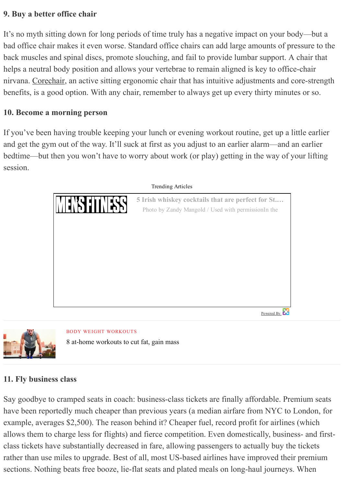#### 9. Buy a better office chair

It's no myth sitting down for long periods of time truly has a negative impact on your body—but a bad office chair makes it even worse. Standard office chairs can add large amounts of pressure to the back muscles and spinal discs, promote slouching, and fail to provide lumbar support. A chair that helps a neutral body position and allows your vertebrae to remain aligned is key to office-chair nirvana. [Corechair](https://www.corechair.com/), an active sitting ergonomic chair that has intuitive adjustments and core-strength benefits, is a good option. With any chair, remember to always get up every thirty minutes or so.

#### 10. Become a morning person

If you've been having trouble keeping your lunch or evening workout routine, get up a little earlier and get the gym out of the way. It'll suck at first as you adjust to an earlier alarm—and an earlier bedtime—but then you won't have to worry about work (or play) getting in the way of your lifting session.





BODY WEIGHT [WORKOUTS](http://www.mensfitness.com/topics/body-weight-workouts) 8 at-home [workouts](http://www.mensfitness.com/training/workout-routines/8-at-home-workouts-to-lose-weight-and-build-muscle) to cut fat, gain mass

#### 11. Fly business class

Say goodbye to cramped seats in coach: business-class tickets are finally affordable. Premium seats have been reportedly much cheaper than previous years (a median airfare from NYC to London, for example, averages \$2,500). The reason behind it? Cheaper fuel, record profit for airlines (which allows them to charge less for flights) and fierce competition. Even domestically, business- and firstclass tickets have substantially decreased in fare, allowing passengers to actually buy the tickets rather than use miles to upgrade. Best of all, most US-based airlines have improved their premium sections. Nothing beats free booze, lie-flat seats and plated meals on long-haul journeys. When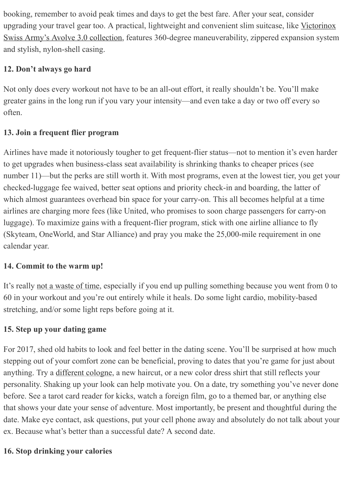booking, remember to avoid peak times and days to get the best fare. After your seat, consider upgrading your travel gear too. A practical, lightweight and convenient slim suitcase, like Victorinox Swiss Army's Avolve 3.0 collection, features 360-degree [maneuverability,](https://www.swissarmy.com/us/en/Products//Avolve-3-0/collection/trg-collection/travelgear_collection_TRA-C0403) zippered expansion system and stylish, nylon-shell casing.

# 12. Don't always go hard

Not only does every workout not have to be an all-out effort, it really shouldn't be. You'll make greater gains in the long run if you vary your intensity—and even take a day or two off every so often.

# 13. Join a frequent flier program

Airlines have made it notoriously tougher to get frequent-flier status—not to mention it's even harder to get upgrades when business-class seat availability is shrinking thanks to cheaper prices (see number 11)—but the perks are still worth it. With most programs, even at the lowest tier, you get your checked-luggage fee waived, better seat options and priority check-in and boarding, the latter of which almost guarantees overhead bin space for your carry-on. This all becomes helpful at a time airlines are charging more fees (like United, who promises to soon charge passengers for carry-on luggage). To maximize gains with a frequent-flier program, stick with one airline alliance to fly (Skyteam, OneWorld, and Star Alliance) and pray you make the 25,000-mile requirement in one calendar year.

# 14. Commit to the warm up!

It's really not a [waste](http://www.mensfitness.com/training/cardio/best-dynamic-warmup-any-workout) of time, especially if you end up pulling something because you went from 0 to 60 in your workout and you're out entirely while it heals. Do some light cardio, mobility-based stretching, and/or some light reps before going at it.

# 15. Step up your dating game

For 2017, shed old habits to look and feel better in the dating scene. You'll be surprised at how much stepping out of your comfort zone can be beneficial, proving to dates that you're game for just about anything. Try a [different](http://www.mensfitness.com/styleandgrooming/grooming/10-scents-will-drive-woman-wild) cologne, a new haircut, or a new color dress shirt that still reflects your personality. Shaking up your look can help motivate you. On a date, try something you've never done before. See a tarot card reader for kicks, watch a foreign film, go to a themed bar, or anything else that shows your date your sense of adventure. Most importantly, be present and thoughtful during the date. Make eye contact, ask questions, put your cell phone away and absolutely do not talk about your ex. Because what's better than a successful date? A second date.

# 16. Stop drinking your calories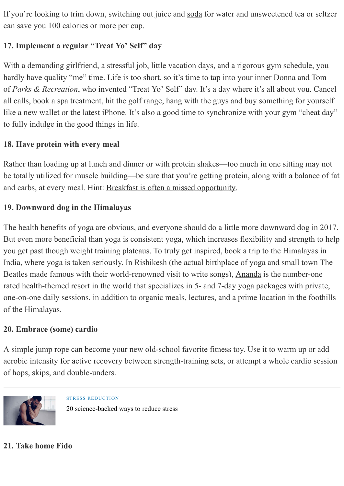If you're looking to trim down, switching out juice and [soda](http://www.mensfitness.com/nutrition/what-to-drink/diet-soda-adds-inches-your-gut) for water and unsweetened tea or seltzer can save you 100 calories or more per cup.

# 17. Implement a regular "Treat Yo' Self" day

With a demanding girlfriend, a stressful job, little vacation days, and a rigorous gym schedule, you hardly have quality "me" time. Life is too short, so it's time to tap into your inner Donna and Tom of *Parks & Recreation*, who invented "Treat Yo' Self" day. It's a day where it's all about you. Cancel all calls, book a spa treatment, hit the golf range, hang with the guys and buy something for yourself like a new wallet or the latest iPhone. It's also a good time to synchronize with your gym "cheat day" to fully indulge in the good things in life.

# 18. Have protein with every meal

Rather than loading up at lunch and dinner or with protein shakes—too much in one sitting may not be totally utilized for muscle building—be sure that you're getting protein, along with a balance of fat and carbs, at every meal. Hint: Breakfast is often a missed [opportunity.](http://www.mensfitness.com/topics/breakfast-recipes)

# 19. Downward dog in the Himalayas

The health benefits of yoga are obvious, and everyone should do a little more downward dog in 2017. But even more beneficial than yoga is consistent yoga, which increases flexibility and strength to help you get past though weight training plateaus. To truly get inspired, book a trip to the Himalayas in India, where yoga is taken seriously. In Rishikesh (the actual birthplace of yoga and small town The Beatles made famous with their world-renowned visit to write songs), [Ananda](http://www.anandaspa.com/) is the number-one rated health-themed resort in the world that specializes in 5- and 7-day yoga packages with private, one-on-one daily sessions, in addition to organic meals, lectures, and a prime location in the foothills of the Himalayas.

## 20. Embrace (some) cardio

A simple jump rope can become your new old-school favorite fitness toy. Use it to warm up or add aerobic intensity for active recovery between strength-training sets, or attempt a whole cardio session of hops, skips, and double-unders.



STRESS [REDUCTION](http://www.mensfitness.com/topics/stress-reduction) 20 science-backed ways to reduce stress

# 21. Take home Fido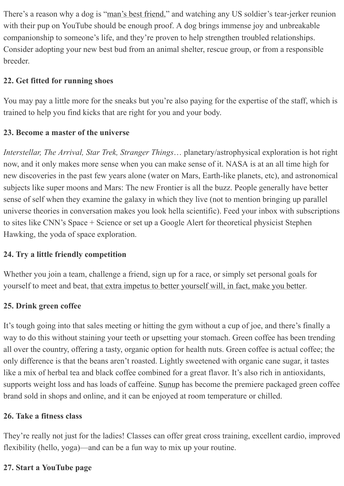There's a reason why a dog is "man's best [friend,](http://www.mensfitness.com/life/entertainment/top-10-most-active-dogs)" and watching any US soldier's tear-jerker reunion with their pup on YouTube should be enough proof. A dog brings immense joy and unbreakable companionship to someone's life, and they're proven to help strengthen troubled relationships. Consider adopting your new best bud from an animal shelter, rescue group, or from a responsible breeder.

# 22. Get fitted for running shoes

You may pay a little more for the sneaks but you're also paying for the expertise of the staff, which is trained to help you find kicks that are right for you and your body.

# 23. Become a master of the universe

*Interstellar, The Arrival, Star Trek, Stranger Things*… planetary/astrophysical exploration is hot right now, and it only makes more sense when you can make sense of it. NASA is at an all time high for new discoveries in the past few years alone (water on Mars, Earth-like planets, etc), and astronomical subjects like super moons and Mars: The new Frontier is all the buzz. People generally have better sense of self when they examine the galaxy in which they live (not to mention bringing up parallel universe theories in conversation makes you look hella scientific). Feed your inbox with subscriptions to sites like CNN's Space + Science or set up a Google Alert for theoretical physicist Stephen Hawking, the yoda of space exploration.

# 24. Try a little friendly competition

Whether you join a team, challenge a friend, sign up for a race, or simply set personal goals for yourself to meet and beat, that extra impetus to better [yourself](http://www.mensfitness.com/life/entertainment/why-competition-gives-you-serious-edge-gym) will, in fact, make you better.

# 25. Drink green coffee

It's tough going into that sales meeting or hitting the gym without a cup of joe, and there's finally a way to do this without staining your teeth or upsetting your stomach. Green coffee has been trending all over the country, offering a tasty, organic option for health nuts. Green coffee is actual coffee; the only difference is that the beans aren't roasted. Lightly sweetened with organic cane sugar, it tastes like a mix of herbal tea and black coffee combined for a great flavor. It's also rich in antioxidants, supports weight loss and has loads of caffeine. [Sunup](http://www.sunupgreencoffee.com/) has become the premiere packaged green coffee brand sold in shops and online, and it can be enjoyed at room temperature or chilled.

## 26. Take a fitness class

They're really not just for the ladies! Classes can offer great cross training, excellent cardio, improved flexibility (hello, yoga)—and can be a fun way to mix up your routine.

## 27. Start a YouTube page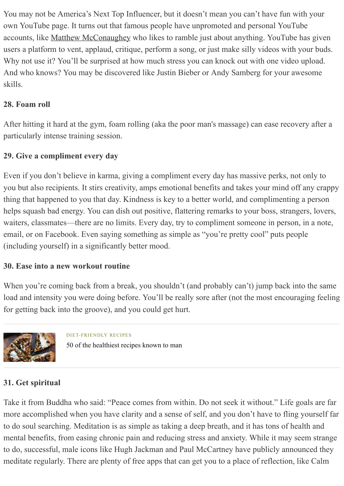You may not be America's Next Top Influencer, but it doesn't mean you can't have fun with your own YouTube page. It turns out that famous people have unpromoted and personal YouTube accounts, like Matthew [McConaughey](https://www.youtube.com/user/McConaugheyOfficial) who likes to ramble just about anything. YouTube has given users a platform to vent, applaud, critique, perform a song, or just make silly videos with your buds. Why not use it? You'll be surprised at how much stress you can knock out with one video upload. And who knows? You may be discovered like Justin Bieber or Andy Samberg for your awesome skills.

# 28. Foam roll

After hitting it hard at the gym, foam rolling (aka the poor man's massage) can ease recovery after a particularly intense training session.

## 29. Give a compliment every day

Even if you don't believe in karma, giving a compliment every day has massive perks, not only to you but also recipients. It stirs creativity, amps emotional benefits and takes your mind off any crappy thing that happened to you that day. Kindness is key to a better world, and complimenting a person helps squash bad energy. You can dish out positive, flattering remarks to your boss, strangers, lovers, waiters, classmates—there are no limits. Every day, try to compliment someone in person, in a note, email, or on Facebook. Even saying something as simple as "you're pretty cool" puts people (including yourself) in a significantly better mood.

#### 30. Ease into a new workout routine

When you're coming back from a break, you shouldn't (and probably can't) jump back into the same load and intensity you were doing before. You'll be really sore after (not the most encouraging feeling for getting back into the groove), and you could get hurt.



DIET-FRIENDLY RECIPES 50 of the [healthiest](http://www.mensfitness.com/nutrition/healthy-recipes/50-healthiest-recipes-known-man) recipes known to man

## 31. Get spiritual

Take it from Buddha who said: "Peace comes from within. Do not seek it without." Life goals are far more accomplished when you have clarity and a sense of self, and you don't have to fling yourself far to do soul searching. Meditation is as simple as taking a deep breath, and it has tons of health and mental benefits, from easing chronic pain and reducing stress and anxiety. While it may seem strange to do, successful, male icons like Hugh Jackman and Paul McCartney have publicly announced they meditate regularly. There are plenty of free apps that can get you to a place of reflection, like Calm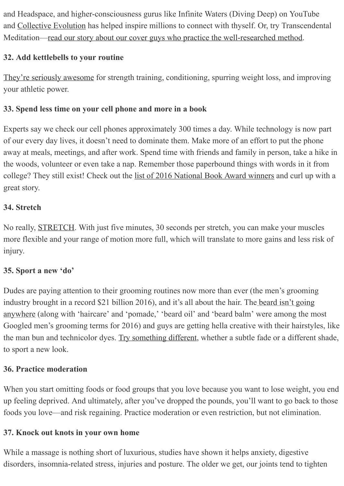and Headspace, and higher-consciousness gurus like Infinite Waters (Diving Deep) on YouTube and [Collective](http://www.collective-evolution.com/) Evolution has helped inspire millions to connect with thyself. Or, try Transcendental Meditation—read our story about our cover guys who practice the well-researched method.

# 32. Add kettlebells to your routine

They're seriously [awesome](http://www.mensfitness.com/training/build-muscle/kettlebell-workout) for strength training, conditioning, spurring weight loss, and improving your athletic power.

# 33. Spend less time on your cell phone and more in a book

Experts say we check our cell phones approximately 300 times a day. While technology is now part of our every day lives, it doesn't need to dominate them. Make more of an effort to put the phone away at meals, meetings, and after work. Spend time with friends and family in person, take a hike in the woods, volunteer or even take a nap. Remember those paperbound things with words in it from college? They still exist! Check out the list of 2016 [National](http://www.nationalbook.org/nba2016.html#.WFb2YbGZOuU) Book Award winners and curl up with a great story.

# 34. Stretch

No really, [STRETCH.](http://www.mensfitness.com/training/pro-tips/10-best-stretches-men-according-10-trainers) With just five minutes, 30 seconds per stretch, you can make your muscles more flexible and your range of motion more full, which will translate to more gains and less risk of injury.

## 35. Sport a new 'do'

Dudes are paying attention to their grooming routines now more than ever (the men's grooming industry brought in a record \$21 billion 2016), and it's all about the hair. The beard isn't going anywhere (along with 'haircare' and ['pomade,'](http://www.mensfitness.com/styleandgrooming/grooming/best-beard-and-mustache-styles-every-guys-face-shape) 'beard oil' and 'beard balm' were among the most Googled men's grooming terms for 2016) and guys are getting hella creative with their hairstyles, like the man bun and technicolor dyes. Try [something](http://www.mensfitness.com/styleandgrooming/grooming/how-get-best-possible-haircut-your-barber) different, whether a subtle fade or a different shade, to sport a new look.

## 36. Practice moderation

When you start omitting foods or food groups that you love because you want to lose weight, you end up feeling deprived. And ultimately, after you've dropped the pounds, you'll want to go back to those foods you love—and risk regaining. Practice moderation or even restriction, but not elimination.

## 37. Knock out knots in your own home

While a massage is nothing short of luxurious, studies have shown it helps anxiety, digestive disorders, insomnia-related stress, injuries and posture. The older we get, our joints tend to tighten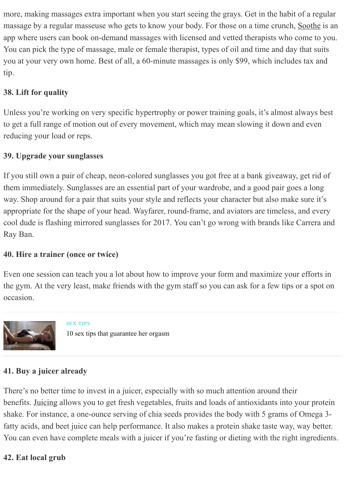more, making massages extra important when you start seeing the grays. Get in the habit of a regular massage by a regular masseuse who gets to know your body. For those on a time crunch, [Soothe](http://www.soothe.com/) is an app where users can book on-demand massages with licensed and vetted therapists who come to you. You can pick the type of massage, male or female therapist, types of oil and time and day that suits you at your very own home. Best of all, a 60-minute massages is only \$99, which includes tax and tip.

# 38. Lift for quality

Unless you're working on very specific hypertrophy or power training goals, it's almost always best to get a full range of motion out of every movement, which may mean slowing it down and even reducing your load or reps.

#### 39. Upgrade your sunglasses

If you still own a pair of cheap, neon-colored sunglasses you got free at a bank giveaway, get rid of them immediately. Sunglasses are an essential part of your wardrobe, and a good pair goes a long way. Shop around for a pair that suits your style and reflects your character but also make sure it's appropriate for the shape of your head. Wayfarer, round-frame, and aviators are timeless, and every cool dude is flashing mirrored sunglasses for 2017. You can't go wrong with brands like Carrera and Ray Ban.

## 40. Hire a trainer (once or twice)

Even one session can teach you a lot about how to improve your form and maximize your efforts in the gym. At the very least, make friends with the gym staff so you can ask for a few tips or a spot on occasion.



SEX [TIPS](http://www.mensfitness.com/topics/sex-tips) 10 sex tips that [guarantee](http://www.mensfitness.com/women/sex-tips/10-sex-tips-practically-guarantee-her-orgasm) her orgasm

## 41. Buy a juicer already

There's no better time to invest in a juicer, especially with so much attention around their benefits. [Juicing](http://www.mensfitness.com/nutrition/what-to-drink/should-you-be-juicing) allows you to get fresh vegetables, fruits and loads of antioxidants into your protein shake. For instance, a one-ounce serving of chia seeds provides the body with 5 grams of Omega 3fatty acids, and beet juice can help performance. It also makes a protein shake taste way, way better. You can even have complete meals with a juicer if you're fasting or dieting with the right ingredients.

#### 42. Eat local grub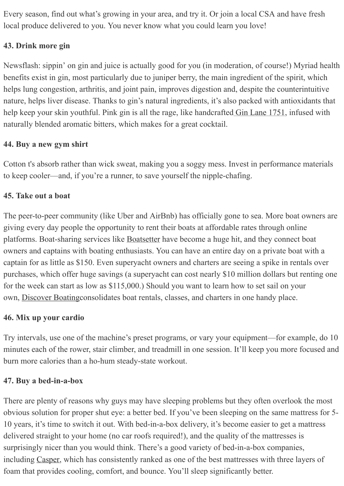Every season, find out what's growing in your area, and try it. Or join a local CSA and have fresh local produce delivered to you. You never know what you could learn you love!

## 43. Drink more gin

Newsflash: sippin' on gin and juice is actually good for you (in moderation, of course!) Myriad health benefits exist in gin, most particularly due to juniper berry, the main ingredient of the spirit, which helps lung congestion, arthritis, and joint pain, improves digestion and, despite the counterintuitive nature, helps liver disease. Thanks to gin's natural ingredients, it's also packed with antioxidants that help keep your skin youthful. Pink gin is all the rage, like handcrafted Gin Lane [1751,](http://www.ginlane1751.com/) infused with naturally blended aromatic bitters, which makes for a great cocktail.

## 44. Buy a new gym shirt

Cotton t's absorb rather than wick sweat, making you a soggy mess. Invest in performance materials to keep cooler—and, if you're a runner, to save yourself the nipplechafing.

#### 45. Take out a boat

The peer-to-peer community (like Uber and AirBnb) has officially gone to sea. More boat owners are giving every day people the opportunity to rent their boats at affordable rates through online platforms. Boat-sharing services like [Boatsetter](http://www.boatsetter.com/) have become a huge hit, and they connect boat owners and captains with boating enthusiasts. You can have an entire day on a private boat with a captain for as little as \$150. Even superyacht owners and charters are seeing a spike in rentals over purchases, which offer huge savings (a superyacht can cost nearly \$10 million dollars but renting one for the week can start as low as \$115,000.) Should you want to learn how to set sail on your own, [Discover](http://www.discoverboating.com/) Boatingconsolidates boat rentals, classes, and charters in one handy place.

#### 46. Mix up your cardio

Try intervals, use one of the machine's preset programs, or vary your equipment—for example, do 10 minutes each of the rower, stair climber, and treadmill in one session. It'll keep you more focused and burn more calories than a ho-hum steady-state workout.

## 47. Buy a bed-in-a-box

There are plenty of reasons why guys may have sleeping problems but they often overlook the most obvious solution for proper shut eye: a better bed. If you've been sleeping on the same mattress for 5 10 years, it's time to switch it out. With bed-in-a-box delivery, it's become easier to get a mattress delivered straight to your home (no car roofs required!), and the quality of the mattresses is surprisingly nicer than you would think. There's a good variety of bed-in-a-box companies, including [Casper,](http://www.casper.com/) which has consistently ranked as one of the best mattresses with three layers of foam that provides cooling, comfort, and bounce. You'll sleep significantly better.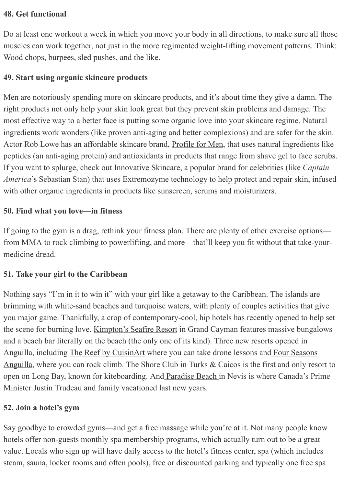#### 48. Get functional

Do at least one workout a week in which you move your body in all directions, to make sure all those muscles can work together, not just in the more regimented weight-lifting movement patterns. Think: Wood chops, burpees, sled pushes, and the like.

#### 49. Start using organic skincare products

Men are notoriously spending more on skincare products, and it's about time they give a damn. The right products not only help your skin look great but they prevent skin problems and damage. The most effective way to a better face is putting some organic love into your skincare regime. Natural ingredients work wonders (like proven anti-aging and better complexions) and are safer for the skin. Actor Rob Lowe has an affordable skincare brand, [Profile](http://www.profile4men.com/) for Men, that uses natural ingredients like peptides (an anti-aging protein) and antioxidants in products that range from shave gel to face scrubs. If you want to splurge, check out [Innovative](http://www.innovativeskincare.com/?f=true) Skincare, a popular brand for celebrities (like *Captain America*'s Sebastian Stan) that uses Extremozyme technology to help protect and repair skin, infused with other organic ingredients in products like sunscreen, serums and moisturizers.

#### 50. Find what you love—in fitness

If going to the gym is a drag, rethink your fitness plan. There are plenty of other exercise options from MMA to rock climbing to powerlifting, and more—that'll keep you fit without that take-yourmedicine dread.

#### 51. Take your girl to the Caribbean

Nothing says "I'm in it to win it" with your girl like a getaway to the Caribbean. The islands are brimming with white-sand beaches and turquoise waters, with plenty of couples activities that give you major game. Thankfully, a crop of contemporary-cool, hip hotels has recently opened to help set the scene for burning love. [Kimpton's](http://www.seafireresortandspa.com/) Seafire Resort in Grand Cayman features massive bungalows and a beach bar literally on the beach (the only one of its kind). Three new resorts opened in Anguilla, including The Reef by [CuisinArt](http://www.thereefbycuisinart.com/) where you can take drone lessons and Four Seasons Anguilla, where you can rock climb. The Shore Club in Turks & Caicos is the first and only resort to open on Long Bay, known for kiteboarding. And [Paradise](https://paradisebeachnevis.com/) Beach in Nevis is where Canada's Prime Minister Justin Trudeau and family vacationed last new years.

#### 52. Join a hotel's gym

Say goodbye to crowded gyms—and get a free massage while you're at it. Not many people know hotels offer non-guests monthly spa membership programs, which actually turn out to be a great value. Locals who sign up will have daily access to the hotel's fitness center, spa (which includes steam, sauna, locker rooms and often pools), free or discounted parking and typically one free spa